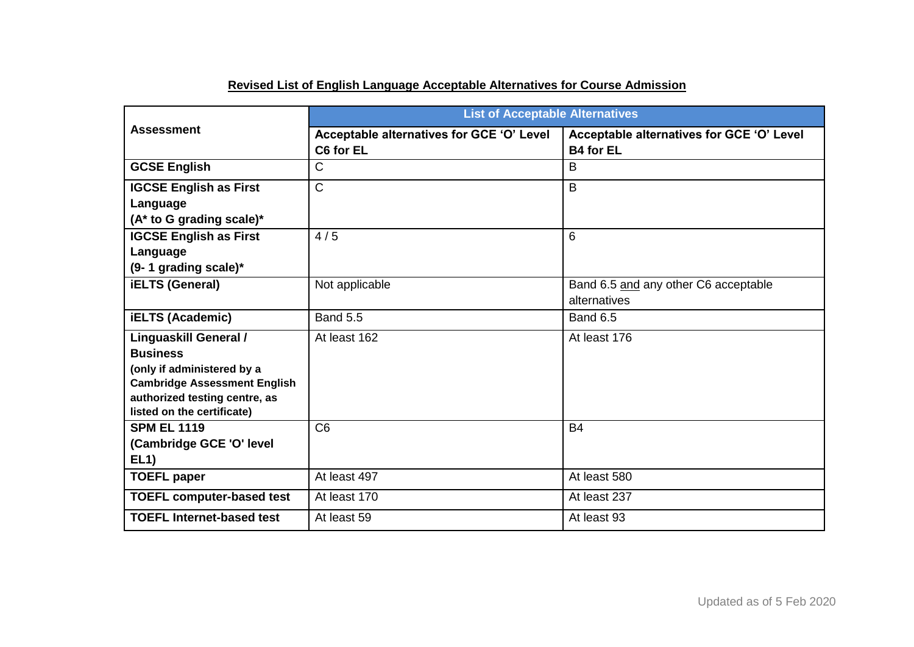| <b>Assessment</b>                                                                                                                                                                   | <b>List of Acceptable Alternatives</b>                 |                                                               |  |
|-------------------------------------------------------------------------------------------------------------------------------------------------------------------------------------|--------------------------------------------------------|---------------------------------------------------------------|--|
|                                                                                                                                                                                     | Acceptable alternatives for GCE 'O' Level<br>C6 for EL | Acceptable alternatives for GCE 'O' Level<br><b>B4 for EL</b> |  |
| <b>GCSE English</b>                                                                                                                                                                 | $\mathsf{C}$                                           | B                                                             |  |
| <b>IGCSE English as First</b><br>Language<br>(A* to G grading scale)*                                                                                                               | $\overline{\text{C}}$                                  | $\overline{B}$                                                |  |
| <b>IGCSE English as First</b><br>Language<br>$(9-1$ grading scale)*                                                                                                                 | 4/5                                                    | 6                                                             |  |
| <b>iELTS (General)</b>                                                                                                                                                              | Not applicable                                         | Band 6.5 and any other C6 acceptable<br>alternatives          |  |
| <b>iELTS (Academic)</b>                                                                                                                                                             | <b>Band 5.5</b>                                        | <b>Band 6.5</b>                                               |  |
| <b>Linguaskill General /</b><br><b>Business</b><br>(only if administered by a<br><b>Cambridge Assessment English</b><br>authorized testing centre, as<br>listed on the certificate) | At least 162                                           | At least 176                                                  |  |
| <b>SPM EL 1119</b><br>(Cambridge GCE 'O' level<br>EL1)                                                                                                                              | C <sub>6</sub>                                         | <b>B4</b>                                                     |  |
| <b>TOEFL paper</b>                                                                                                                                                                  | At least 497                                           | At least 580                                                  |  |
| <b>TOEFL computer-based test</b>                                                                                                                                                    | At least 170                                           | At least 237                                                  |  |
| <b>TOEFL Internet-based test</b>                                                                                                                                                    | At least 59                                            | At least 93                                                   |  |

## **Revised List of English Language Acceptable Alternatives for Course Admission**